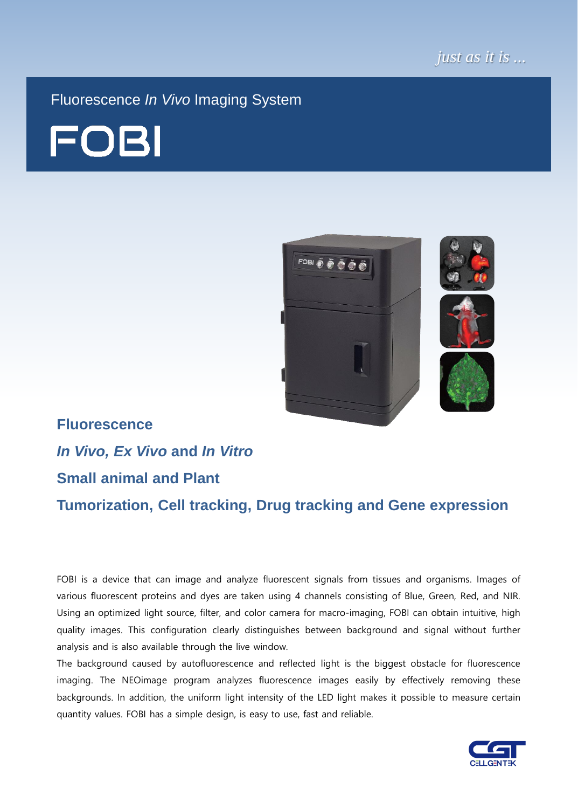

Fluorescence *In Vivo* Imaging System





# **Fluorescence** *In Vivo, Ex Vivo* **and** *In Vitro* **Small animal and Plant**

**Tumorization, Cell tracking, Drug tracking and Gene expression**

FOBI is a device that can image and analyze fluorescent signals from tissues and organisms. Images of various fluorescent proteins and dyes are taken using 4 channels consisting of Blue, Green, Red, and NIR. Using an optimized light source, filter, and color camera for macro-imaging, FOBI can obtain intuitive, high quality images. This configuration clearly distinguishes between background and signal without further analysis and is also available through the live window.

The background caused by autofluorescence and reflected light is the biggest obstacle for fluorescence imaging. The NEOimage program analyzes fluorescence images easily by effectively removing these backgrounds. In addition, the uniform light intensity of the LED light makes it possible to measure certain quantity values. FOBI has a simple design, is easy to use, fast and reliable.

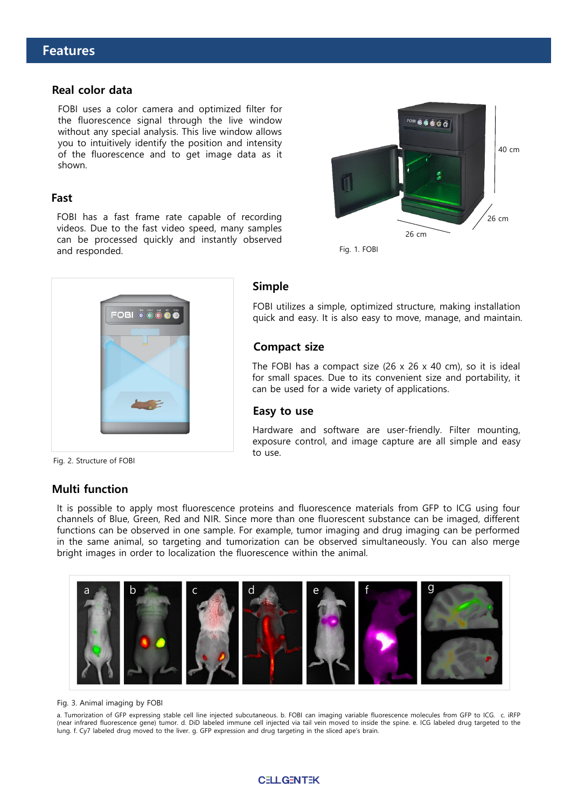#### **Real color data**

FOBI uses a color camera and optimized filter for the fluorescence signal through the live window without any special analysis. This live window allows you to intuitively identify the position and intensity of the fluorescence and to get image data as it shown.

#### **Fast**

FOBI has a fast frame rate capable of recording videos. Due to the fast video speed, many samples can be processed quickly and instantly observed and responded.



Fig. 1. FOBI



#### **Simple**

FOBI utilizes a simple, optimized structure, making installation quick and easy. It is also easy to move, manage, and maintain.

#### **Compact size**

The FOBI has a compact size  $(26 \times 26 \times 40 \text{ cm})$ , so it is ideal for small spaces. Due to its convenient size and portability, it can be used for a wide variety of applications.

#### **Easy to use**

Hardware and software are user-friendly. Filter mounting, exposure control, and image capture are all simple and easy to use.

Fig. 2. Structure of FOBI

#### **Multi function**

It is possible to apply most fluorescence proteins and fluorescence materials from GFP to ICG using four channels of Blue, Green, Red and NIR. Since more than one fluorescent substance can be imaged, different functions can be observed in one sample. For example, tumor imaging and drug imaging can be performed in the same animal, so targeting and tumorization can be observed simultaneously. You can also merge bright images in order to localization the fluorescence within the animal.



#### Fig. 3. Animal imaging by FOBI

a. Tumorization of GFP expressing stable cell line injected subcutaneous. b. FOBI can imaging variable fluorescence molecules from GFP to ICG. c. iRFP (near infrared fluorescence gene) tumor. d. DiD labeled immune cell injected via tail vein moved to inside the spine. e. ICG labeled drug targeted to the lung. f. Cy7 labeled drug moved to the liver. g. GFP expression and drug targeting in the sliced ape's brain.

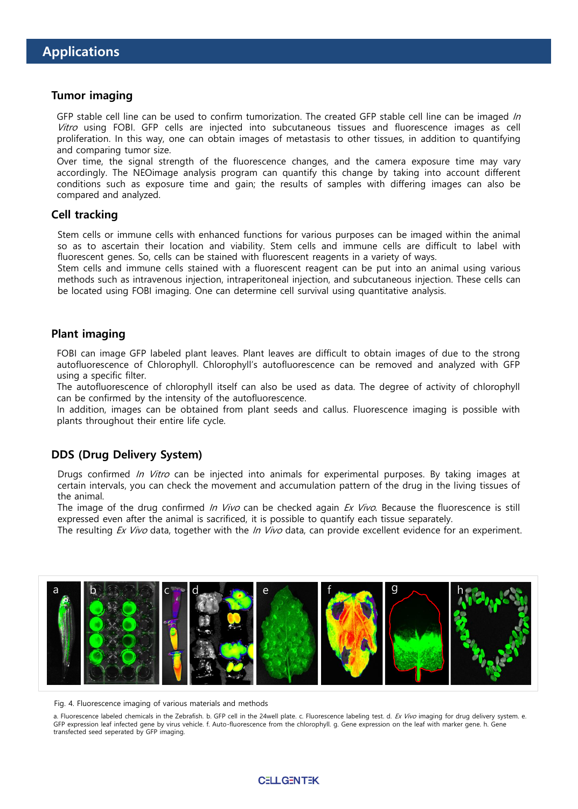#### **Tumor imaging**

GFP stable cell line can be used to confirm tumorization. The created GFP stable cell line can be imaged In Vitro using FOBI. GFP cells are injected into subcutaneous tissues and fluorescence images as cell proliferation. In this way, one can obtain images of metastasis to other tissues, in addition to quantifying and comparing tumor size.

Over time, the signal strength of the fluorescence changes, and the camera exposure time may vary accordingly. The NEOimage analysis program can quantify this change by taking into account different conditions such as exposure time and gain; the results of samples with differing images can also be compared and analyzed.

#### **Cell tracking**

Stem cells or immune cells with enhanced functions for various purposes can be imaged within the animal so as to ascertain their location and viability. Stem cells and immune cells are difficult to label with fluorescent genes. So, cells can be stained with fluorescent reagents in a variety of ways.

Stem cells and immune cells stained with a fluorescent reagent can be put into an animal using various methods such as intravenous injection, intraperitoneal injection, and subcutaneous injection. These cells can be located using FOBI imaging. One can determine cell survival using quantitative analysis.

#### **Plant imaging**

FOBI can image GFP labeled plant leaves. Plant leaves are difficult to obtain images of due to the strong autofluorescence of Chlorophyll. Chlorophyll's autofluorescence can be removed and analyzed with GFP using a specific filter.

The autofluorescence of chlorophyll itself can also be used as data. The degree of activity of chlorophyll can be confirmed by the intensity of the autofluorescence.

In addition, images can be obtained from plant seeds and callus. Fluorescence imaging is possible with plants throughout their entire life cycle.

#### **DDS (Drug Delivery System)**

Drugs confirmed *In Vitro* can be injected into animals for experimental purposes. By taking images at certain intervals, you can check the movement and accumulation pattern of the drug in the living tissues of the animal.

The image of the drug confirmed In Vivo can be checked again  $Ex$  Vivo. Because the fluorescence is still expressed even after the animal is sacrificed, it is possible to quantify each tissue separately.

The resulting Ex Vivo data, together with the In Vivo data, can provide excellent evidence for an experiment.



Fig. 4. Fluorescence imaging of various materials and methods

a. Fluorescence labeled chemicals in the Zebrafish. b. GFP cell in the 24well plate. c. Fluorescence labeling test. d. Ex Vivo imaging for drug delivery system. e. GFP expression leaf infected gene by virus vehicle. f. Auto-fluorescence from the chlorophyll. g. Gene expression on the leaf with marker gene. h. Gene transfected seed seperated by GFP imaging.

#### **CELLGENTEK**